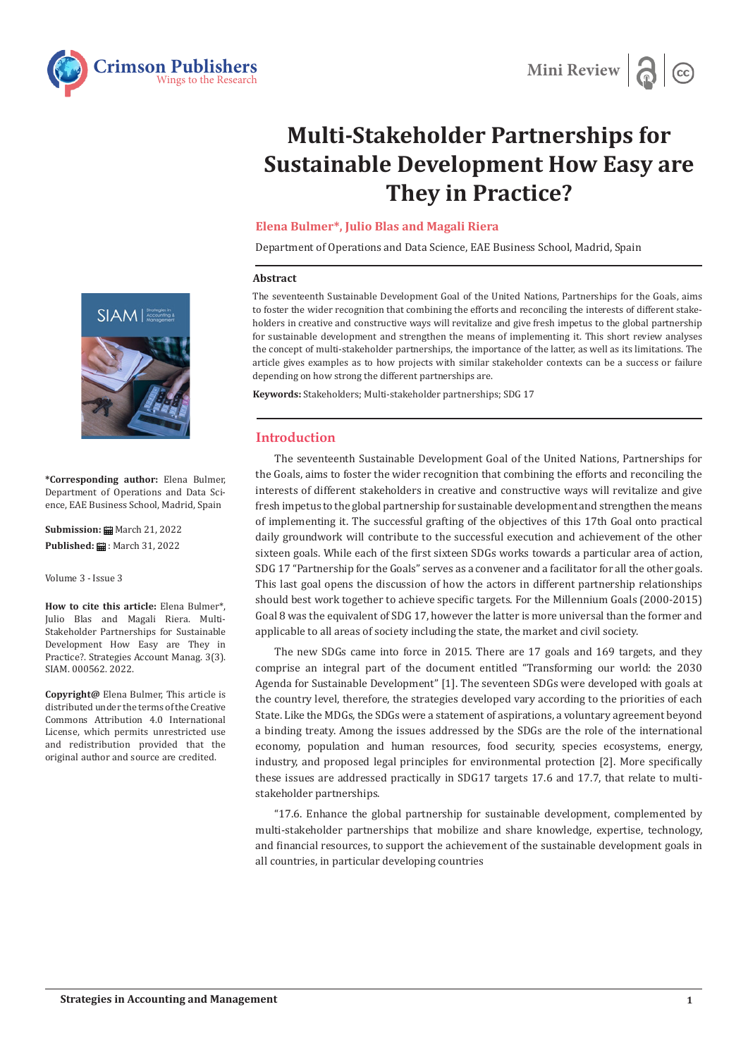



# **Multi-Stakeholder Partnerships for Sustainable Development How Easy are They in Practice?**

## **Elena Bulmer\*, Julio Blas and Magali Riera**

Department of Operations and Data Science, EAE Business School, Madrid, Spain

#### **Abstract**

The seventeenth Sustainable Development Goal of the United Nations, Partnerships for the Goals, aims to foster the wider recognition that combining the efforts and reconciling the interests of different stakeholders in creative and constructive ways will revitalize and give fresh impetus to the global partnership for sustainable development and strengthen the means of implementing it. This short review analyses the concept of multi-stakeholder partnerships, the importance of the latter, as well as its limitations. The article gives examples as to how projects with similar stakeholder contexts can be a success or failure depending on how strong the different partnerships are.

**Keywords:** Stakeholders; Multi-stakeholder partnerships; SDG 17

### **Introduction**

The seventeenth Sustainable Development Goal of the United Nations, Partnerships for the Goals, aims to foster the wider recognition that combining the efforts and reconciling the interests of different stakeholders in creative and constructive ways will revitalize and give fresh impetus to the global partnership for sustainable development and strengthen the means of implementing it. The successful grafting of the objectives of this 17th Goal onto practical daily groundwork will contribute to the successful execution and achievement of the other sixteen goals. While each of the first sixteen SDGs works towards a particular area of action, SDG 17 "Partnership for the Goals" serves as a convener and a facilitator for all the other goals. This last goal opens the discussion of how the actors in different partnership relationships should best work together to achieve specific targets. For the Millennium Goals (2000-2015) Goal 8 was the equivalent of SDG 17, however the latter is more universal than the former and applicable to all areas of society including the state, the market and civil society.

The new SDGs came into force in 2015. There are 17 goals and 169 targets, and they comprise an integral part of the document entitled "Transforming our world: the 2030 Agenda for Sustainable Development" [1]. The seventeen SDGs were developed with goals at the country level, therefore, the strategies developed vary according to the priorities of each State. Like the MDGs, the SDGs were a statement of aspirations, a voluntary agreement beyond a binding treaty. Among the issues addressed by the SDGs are the role of the international economy, population and human resources, food security, species ecosystems, energy, industry, and proposed legal principles for environmental protection [2]. More specifically these issues are addressed practically in SDG17 targets 17.6 and 17.7, that relate to multistakeholder partnerships.

"17.6. Enhance the global partnership for sustainable development, complemented by multi-stakeholder partnerships that mobilize and share knowledge, expertise, technology, and financial resources, to support the achievement of the sustainable development goals in all countries, in particular developing countries



**\*Corresponding author:** Elena Bulmer, Department of Operations and Data Science, EAE Business School, Madrid, Spain

**Submission: m** March 21, 2022 **Published: 自: March 31, 2022** 

Volume 3 - Issue 3

**How to cite this article:** Elena Bulmer\*, Julio Blas and Magali Riera. Multi-Stakeholder Partnerships for Sustainable Development How Easy are They in Practice?. Strategies Account Manag. 3(3). SIAM. 000562. 2022.

**Copyright@** Elena Bulmer, This article is distributed under the terms of the Creative Commons Attribution 4.0 International License, which permits unrestricted use and redistribution provided that the original author and source are credited.